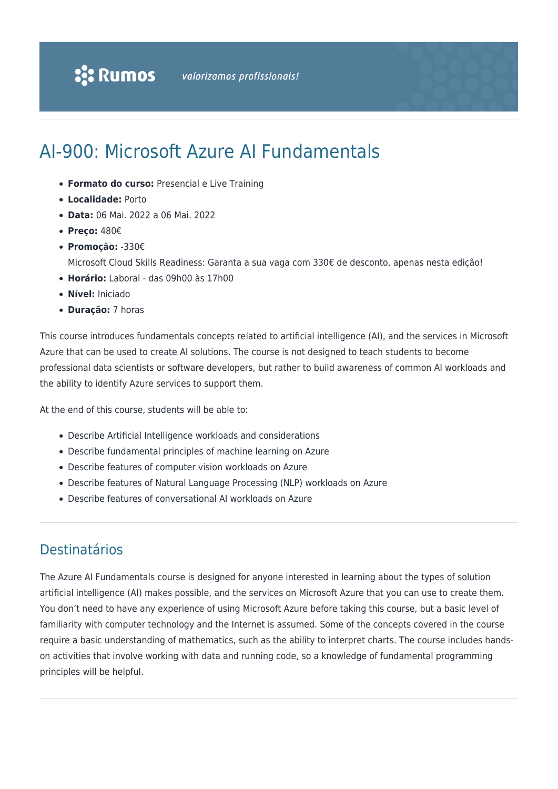# AI-900: Microsoft Azure AI Fundamentals

- **Formato do curso:** Presencial e Live Training
- **Localidade:** Porto
- **Data:** 06 Mai. 2022 a 06 Mai. 2022
- **Preço:** 480€
- **Promoção:** -330€
	- Microsoft Cloud Skills Readiness: Garanta a sua vaga com 330€ de desconto, apenas nesta edição!
- **Horário:** Laboral das 09h00 às 17h00
- **Nível:** Iniciado
- **Duração:** 7 horas

This course introduces fundamentals concepts related to artificial intelligence (AI), and the services in Microsoft Azure that can be used to create AI solutions. The course is not designed to teach students to become professional data scientists or software developers, but rather to build awareness of common AI workloads and the ability to identify Azure services to support them.

At the end of this course, students will be able to:

- Describe Artificial Intelligence workloads and considerations
- Describe fundamental principles of machine learning on Azure
- Describe features of computer vision workloads on Azure
- Describe features of Natural Language Processing (NLP) workloads on Azure
- Describe features of conversational AI workloads on Azure

### Destinatários

The Azure AI Fundamentals course is designed for anyone interested in learning about the types of solution artificial intelligence (AI) makes possible, and the services on Microsoft Azure that you can use to create them. You don't need to have any experience of using Microsoft Azure before taking this course, but a basic level of familiarity with computer technology and the Internet is assumed. Some of the concepts covered in the course require a basic understanding of mathematics, such as the ability to interpret charts. The course includes handson activities that involve working with data and running code, so a knowledge of fundamental programming principles will be helpful.